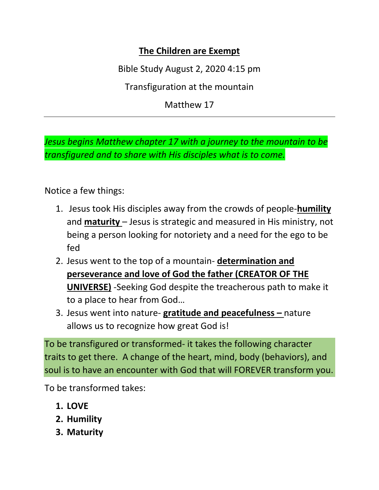## **The Children are Exempt**

Bible Study August 2, 2020 4:15 pm

Transfiguration at the mountain

Matthew 17

*Jesus begins Matthew chapter 17 with a journey to the mountain to be transfigured and to share with His disciples what is to come.*

Notice a few things:

- 1. Jesus took His disciples away from the crowds of people-**humility**  and **maturity** – Jesus is strategic and measured in His ministry, not being a person looking for notoriety and a need for the ego to be fed
- 2. Jesus went to the top of a mountain- **determination and perseverance and love of God the father (CREATOR OF THE UNIVERSE)** -Seeking God despite the treacherous path to make it to a place to hear from God…
- 3. Jesus went into nature- **gratitude and peacefulness –** nature allows us to recognize how great God is!

To be transfigured or transformed- it takes the following character traits to get there. A change of the heart, mind, body (behaviors), and soul is to have an encounter with God that will FOREVER transform you.

To be transformed takes:

- **1. LOVE**
- **2. Humility**
- **3. Maturity**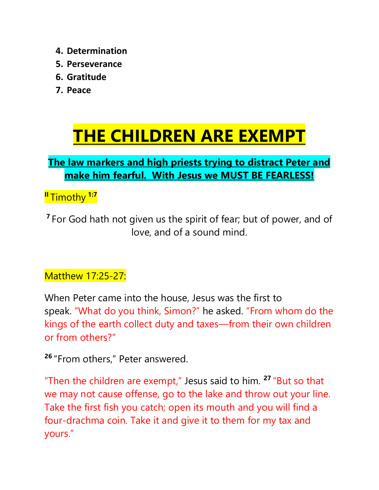- **4. Determination**
- **5. Perseverance**
- **6. Gratitude**
- **7. Peace**

## **THE CHILDREN ARE EXEMPT**

## **The law markers and high priests trying to distract Peter and make him fearful. With Jesus we MUST BE FEARLESS!**

**II** Timothy **1:7**

**<sup>7</sup>** For God hath not given us the spirit of fear; but of power, and of love, and of a sound mind.

## Matthew 17:25-27:

When Peter came into the house, Jesus was the first to speak. "What do you think, Simon?" he asked. "From whom do the kings of the earth collect duty and taxes—from their own children or from others?"

**<sup>26</sup>** "From others," Peter answered.

"Then the children are exempt," Jesus said to him. **<sup>27</sup>** "But so that we may not cause offense, go to the lake and throw out your line. Take the first fish you catch; open its mouth and you will find a four-drachma coin. Take it and give it to them for my tax and yours."